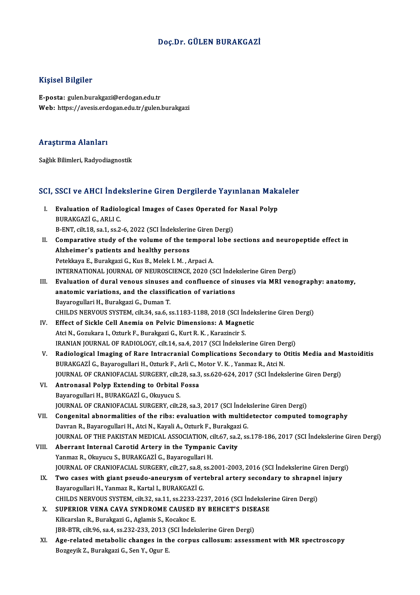#### Doç.Dr. GÜLEN BURAKGAZİ

#### Kişisel Bilgiler

E-posta: gulen.burakgazi@erdogan.edu.tr Web: https://avesis.erdogan.edu.tr/gulen.burakgazi

#### Araştırma Alanları

Sağlık Bilimleri, Radyodiagnostik

# sagik Bilimleri, Kadyodiagnosuk<br>SCI, SSCI ve AHCI İndekslerine Giren Dergilerde Yayınlanan Makaleler

CI, SSCI ve AHCI Indekslerine Giren Dergilerde Yayınlanan Maka<br>I. Evaluation of Radiological Images of Cases Operated for Nasal Polyp BURAKGAZİ G., ARLIC.<br>BURAKGAZİ G., ARLIC.<br>B. ENT. cik 19. sa 1. ss 2. Evaluation of Radiological Images of Cases Operated for<br>BURAKGAZİ G., ARLI C.<br>B-ENT, cilt.18, sa.1, ss.2-6, 2022 (SCI İndekslerine Giren Dergi)<br>Comparative study of the volume of the temperal labe ( BURAKGAZİ G., ARLI C.<br>B-ENT, cilt.18, sa.1, ss.2-6, 2022 (SCI İndekslerine Giren Dergi)<br>II. Comparative study of the volume of the temporal lobe sections and neuropeptide effect in<br>Alsheimer's patients and healthy persons B-ENT, cilt.18, sa.1, ss.2-6, 2022 (SCI Indekslerine Giren Dergi)<br>Comparative study of the volume of the temporal lobe :<br>Alzheimer's patients and healthy persons<br>Petekkaya E., Burakgazi G., Kus B., Melek I. M., Arpaci A. Comparative study of the volume of the temporal<br>Alzheimer's patients and healthy persons<br>Petekkaya E., Burakgazi G., Kus B., Melek I. M. , Arpaci A.<br>INTERNATIONAL JOURNAL OF NEUROSCIENCE 2020 (S Alzheimer's patients and healthy persons<br>Petekkaya E., Burakgazi G., Kus B., Melek I. M. , Arpaci A.<br>INTERNATIONAL JOURNAL OF NEUROSCIENCE, 2020 (SCI İndekslerine Giren Dergi)<br>Fyalustion of dural veneus sinuses and senflue III. Evaluation of dural venous sinuses and confluence of sinuses via MRI venography: anatomy,<br>anatomic variations. and the classification of variations INTERNATIONAL JOURNAL OF NEUROSCIENCE, 2020 (SCI Indel<br>Evaluation of dural venous sinuses and confluence of si<br>anatomic variations, and the classification of variations<br>Payarogullari H. Purakgazi C. Duman T. Bayarogullari H., Burakgazi G., Duman T. anatomic variations, and the classification of variations<br>Bayarogullari H., Burakgazi G., Duman T.<br>CHILDS NERVOUS SYSTEM, cilt.34, sa.6, ss.1183-1188, 2018 (SCI İndekslerine Giren Dergi)<br>Effect of Sickle Coll Anomia on Bol

- Bayarogullari H., Burakgazi G., Duman T.<br>CHILDS NERVOUS SYSTEM, cilt.34, sa.6, ss.1183-1188, 2018 (SCI İndel<br>IV. Effect of Sickle Cell Anemia on Pelvic Dimensions: A Magnetic<br>Atsi N. Corultora L. Orturk E. Burakgari C. Kur CHILDS NERVOUS SYSTEM, cilt.34, sa.6, ss.1183-1188, 2018 (SCI İn<br>Effect of Sickle Cell Anemia on Pelvic Dimensions: A Magne<br>Atci N., Gozukara I., Ozturk F., Burakgazi G., Kurt R. K. , Karazincir S.<br>IPANJAN JOUPNAL OF PADJO Effect of Sickle Cell Anemia on Pelvic Dimensions: A Magnetic<br>Atci N., Gozukara I., Ozturk F., Burakgazi G., Kurt R. K. , Karazincir S.<br>IRANIAN JOURNAL OF RADIOLOGY, cilt.14, sa.4, 2017 (SCI İndekslerine Giren Dergi)<br>Padio Atci N., Gozukara I., Ozturk F., Burakgazi G., Kurt R. K. , Karazincir S.<br>IRANIAN JOURNAL OF RADIOLOGY, cilt.14, sa.4, 2017 (SCI İndekslerine Giren Dergi)<br>V. Radiological Imaging of Rare Intracranial Complications Secondar
- IRANIAN JOURNAL OF RADIOLOGY, cilt.14, sa.4, 2017 (SCI İndekslerine Giren De:<br>Radiological Imaging of Rare Intracranial Complications Secondary to (<br>BURAKGAZİ G., Bayarogullari H., Ozturk F., Arli C., Motor V. K. , Yanmaz Radiological Imaging of Rare Intracranial Complications Secondary to Otitis Media and M<br>BURAKGAZİ G., Bayarogullari H., Ozturk F., Arli C., Motor V. K. , Yanmaz R., Atci N.<br>JOURNAL OF CRANIOFACIAL SURGERY, cilt.28, sa.3, s BURAKGAZİ G., Bayarogullari H., Ozturk F., Arli C., Motor V. K. , Yanmaz R., Atci N.<br>JOURNAL OF CRANIOFACIAL SURGERY, cilt.28, sa.3, ss.620-624, 2017 (SCI İndeks<br>VI. Antronasal Polyp Extending to Orbital Fossa<br>Bayarogullar JOURNAL OF CRANIOFACIAL SURGERY, cilt.28, sa.3, ss.620-624, 2017 (SCI İndekslerine Giren Dergi)
- Antronasal Polyp Extending to Orbital Fossa<br>Bayarogullari H., BURAKGAZİ G., Okuyucu S.<br>JOURNAL OF CRANIOFACIAL SURGERY, cilt.28, sa.3, 2017 (SCI İndekslerine Giren Dergi)<br>Consenital abnormalities of the ribe: evaluation wi
- VII. Congenital abnormalities of the ribs: evaluation with multidetector computed tomography<br>Davran R., Bayarogullari H., Atci N., Kayali A., Ozturk F., Burakgazi G. JOURNAL OF CRANIOFACIAL SURGERY, cilt.28, sa.3, 2017 (SCI İndek<br>Congenital abnormalities of the ribs: evaluation with multid<br>Davran R., Bayarogullari H., Atci N., Kayali A., Ozturk F., Burakgazi G.<br>JOURNAL OF THE RAKISTAN JOURNAL OF THE PAKISTAN MEDICAL ASSOCIATION, cilt.67, sa.2, ss.178-186, 2017 (SCI İndekslerine Giren Dergi)
- VIII. Aberrant Internal Carotid Artery in the Tympanic Cavity Yanmaz R., Okuyucu S., BURAKGAZİ G., Bayarogullari H. JOURNAL OF CRANIOFACIAL SURGERY, cilt.27, sa.8, ss.2001-2003, 2016 (SCI İndekslerine Giren Dergi) Yanmaz R., Okuyucu S., BURAKGAZİ G., Bayarogullari H.<br>JOURNAL OF CRANIOFACIAL SURGERY, cilt.27, sa.8, ss.2001-2003, 2016 (SCI İndekslerine Giren Derg<br>IX. Two cases with giant pseudo-aneurysm of vertebral artery secondary t
	- JOURNAL OF CRANIOFACIAL SURGERY, cilt.27, sa.8, s<br>Two cases with giant pseudo-aneurysm of ver<br>Bayarogullari H., Yanmaz R., Kartal I., BURAKGAZİ G.<br>CHU DS NEPVOUS SYSTEM, cilt 22, sa.11, ss.2222, 22: Two cases with giant pseudo-aneurysm of vertebral artery secondary to shrapne<br>Bayarogullari H., Yanmaz R., Kartal I., BURAKGAZİ G.<br>CHILDS NERVOUS SYSTEM, cilt.32, sa.11, ss.2233-2237, 2016 (SCI İndekslerine Giren Dergi)<br>SU Bayarogullari H., Yanmaz R., Kartal I., BURAKGAZİ G.<br>CHILDS NERVOUS SYSTEM, cilt.32, sa.11, ss.2233-2237, 2016 (SCI İndeksler<br>X. SUPERIOR VENA CAVA SYNDROME CAUSED BY BEHCET'S DISEASE<br>Kiligardan B. Burgkgazi G. Aglamis S.
	- CHILDS NERVOUS SYSTEM, cilt.32, sa.11, ss.2233-2237, 2016 (SCI İndekslerine Giren Dergi)<br>SUPERIOR VENA CAVA SYNDROME CAUSED BY BEHCET'S DISEASE<br>Kilicarslan R., Burakgazi G., Aglamis S., Kocakoc E. SUPERIOR VENA CAVA SYNDROME CAUSED BY BEHCET'S DISE<br>Kilicarslan R., Burakgazi G., Aglamis S., Kocakoc E.<br>JBR-BTR, cilt.96, sa.4, ss.232-233, 2013 (SCI İndekslerine Giren Dergi)<br>Age related metabolis shanges in the sernus s JBR-BTR, cilt 96, sa 4, ss 232-233, 2013 (SCI Indekslerine Giren Dergi)
	- XI. Age-related metabolic changes in the corpus callosum: assessment with MR spectroscopy<br>Bozgeyik Z., Burakgazi G., Sen Y., Ogur E.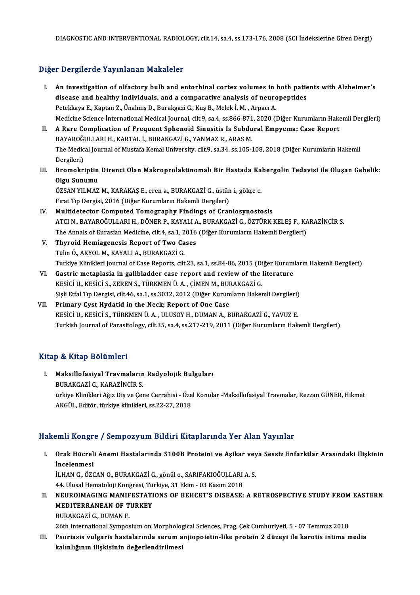### Diğer Dergilerde Yayınlanan Makaleler

- Iger Dergilerde Yayınlanan Makaleler<br>I. An investigation of olfactory bulb and entorhinal cortex volumes in both patients with Alzheimer's<br>disease and bealthy individuals, and a semperative analysis of peuropentides disease and healthy indicatory bulb and entorhinal cortex volumes in both patie<br>disease and healthy individuals, and a comparative analysis of neuropeptides<br>Retakious E. Kantan 7, Ünalmış D. Buraksari G. Kus B. Malak İ. M. An investigation of olfactory bulb and entorhinal cortex volumes in disease and healthy individuals, and a comparative analysis of neuro<br>Petekkaya E., Kaptan Z., Ünalmış D., Burakgazi G., Kuş B., Melek İ.M. , Arpacı A.<br>Med disease and healthy individuals, and a comparative analysis of neuropeptides<br>Petekkaya E., Kaptan Z., Ünalmış D., Burakgazi G., Kuş B., Melek İ. M. , Arpacı A.<br>Medicine Science İnternational Medical Journal, cilt.9, sa.4, Petekkaya E., Kaptan Z., Ünalmış D., Burakgazi G., Kuş B., Melek İ. M. , Arpacı A.<br>Medicine Science İnternational Medical Journal, cilt.9, sa.4, ss.866-871, 2020 (Diğer Kurumların Hake<br>II. A Rare Complication of Frequent S
- Medicine Science İnternational Medical Journal, cilt.9, sa.4, ss.866-871<br>A Rare Complication of Frequent Sphenoid Sinusitis Is Subdu<br>BAYAROĞULLARI H., KARTAL İ., BURAKGAZİ G., YANMAZ R., ARAS M.<br>The Medical Journal of Must A Rare Complication of Frequent Sphenoid Sinusitis Is Subdural Empyema: Case Report<br>BAYAROĞULLARI H., KARTAL İ., BURAKGAZİ G., YANMAZ R., ARAS M.<br>The Medical Journal of Mustafa Kemal University, cilt.9, sa.34, ss.105-108, BAYAROĞI<br>The Medic<br>Dergileri)<br>Promokri The Medical Journal of Mustafa Kemal University, cilt.9, sa.34, ss.105-108, 2018 (Diğer Kurumların Hakemli<br>Dergileri)<br>III. Bromokriptin Direnci Olan Makroprolaktinomalı Bir Hastada Kabergolin Tedavisi ile Oluşan Gebelik:<br>O
- Dergileri)<br><mark>Bromokriptin</mark><br>Olgu Sunumu<br>ÖZSAN VII MAZ Bromokriptin Direnci Olan Makroprolaktinomalı Bir Hastada Ka<br>Olgu Sunumu<br>ÖZSAN YILMAZ M., KARAKAŞ E., eren a., BURAKGAZİ G., üstün i., gökçe c.<br>Fırst Tın Denzisi. 2016 (Dižen Kunumların Hakamli Denzileri).

Olgu Sunumu<br>ÖZSAN YILMAZ M., KARAKAŞ E., eren a., BURAKGAZİ G., üstün i., gökçe c.<br>Fırat Tıp Dergisi, 2016 (Diğer Kurumların Hakemli Dergileri)

- IV. Multidetector Computed Tomography Findings of Craniosynostosis Fırat Tıp Dergisi, 2016 (Diğer Kurumların Hakemli Dergileri)<br><mark>Multidetector Computed Tomography Findings of Craniosynostosis</mark><br>ATCI N., BAYAROĞULLARI H., DÖNER P., KAYALI A., BURAKGAZİ G., ÖZTÜRK KELEŞ F., KARAZİNCİR S.<br>The Multidetector Computed Tomography Findings of Craniosynostosis<br>ATCI N., BAYAROĞULLARI H., DÖNER P., KAYALI A., BURAKGAZİ G., ÖZTÜRK KELEŞ F., KA<br>The Annals of Eurasian Medicine, cilt.4, sa.1, 2016 (Diğer Kurumların Hakemli The Annals of Eurasian Medicine, cilt4, sa.1, 2016 (Diğer Kurumların Hakemli Dergileri)
- V. Thyroid Hemiagenesis Report of Two Cases Turkiye Klinikleri Journal of Case Reports, cilt.23, sa.1, ss.84-86, 2015 (Diğer Kurumların Hakemli Dergileri)
- VI. Gastric metaplasia in gallbladder case report and review of the literature KESİCİ U., KESİCİ S., ZEREN S., TÜRKMEN Ü. A., ÇİMEN M., BURAKGAZİ G. Gastric metaplasia in gallbladder case report and review of the literature<br>KESİCİ U., KESİCİ S., ZEREN S., TÜRKMEN Ü. A. , ÇİMEN M., BURAKGAZİ G.<br>Şişli Etfal Tıp Dergisi, cilt.46, sa.1, ss.3032, 2012 (Diğer Kurumların Hake
- VII. Primary Cyst Hydatid in the Neck; Report of One Case<br>KESICI U., KESICI S., TÜRKMEN Ü. A., ULUSOY H., DUMAN A., BURAKGAZI G., YAVUZ E. Şişli Etfal Tıp Dergisi, cilt.46, sa.1, ss.3032, 2012 (Diğer Kurumların Hakemli Dergileri)<br>Primary Cyst Hydatid in the Neck; Report of One Case<br>KESİCİ U., KESİCİ S., TÜRKMEN Ü. A. , ULUSOY H., DUMAN A., BURAKGAZİ G., YAVUZ Turkish Journal of Parasitology, cilt.35, sa.4, ss.217-219, 2011 (Diğer Kurumların Hakemli Dergileri)

#### Kitap & Kitap Bölümleri

İtap & Kitap Bölümleri<br>I. Maksillofasiyal Travmaların Radyolojik Bulguları<br>RUPAKÇAZİ G. KARAZİNÇİR S b & KRup Bordmicri<br>Maksillofasiyal Travmaların<br>BURAKGAZİ G., KARAZİNCİR S. Maksillofasiyal Travmaların Radyolojik Bulguları<br>BURAKGAZİ G., KARAZİNCİR S.<br>ürkiye Klinikleri Ağız Diş ve Çene Cerrahisi - Özel Konular -Maksillofasiyal Travmalar, Rezzan GÜNER, Hikmet<br>AKÇÜL, Fditör, türkiye klinikleri 98 BURAKGAZİ G., KARAZİNCİR S.<br>ürkiye Klinikleri Ağız Diş ve Çene Cerrahisi - Öze<br>AKGÜL, Editör, türkiye klinikleri, ss.22-27, 2018

## AKGÜL, Editör, türkiye klinikleri, ss.22-27, 2018<br>Hakemli Kongre / Sempozyum Bildiri Kitaplarında Yer Alan Yayınlar

akemli Kongre / Sempozyum Bildiri Kitaplarında Yer Alan Yayınlar<br>I. Orak Hücreli Anemi Hastalarında S100B Proteini ve Aşikar veya Sessiz Enfarktlar Arasındaki İlişkinin<br>İncelenmesi omn rengr<br>Orak Hücrel<br>İncelenmesi<br>İLHAN G. ÖZC Orak Hücreli Anemi Hastalarında S100B Proteini ve Aşikar vey<br>İncelenmesi<br>İLHAN G., ÖZCAN O., BURAKGAZİ G., gönül o., SARIFAKIOĞULLARI A. S.<br>44 Hlucel Hematoleji Kongresi Türkiye, 31 Fkim, 93 Kesum 2019

İncelenmesi<br>İLHAN G., ÖZCAN O., BURAKGAZİ G., gönül o., SARIFAKIOĞULLARI<br>44. Ulusal Hematoloji Kongresi, Türkiye, 31 Ekim - 03 Kasım 2018<br>NEUROIMACINC MANIEESTATIONS OE BEHCET'S DISEASE.

ILHAN G., ÖZCAN O., BURAKGAZİ G., gönül o., SARIFAKIOĞULLARI A. S.<br>44. Ulusal Hematoloji Kongresi, Türkiye, 31 Ekim - 03 Kasım 2018<br>II. NEUROIMAGING MANIFESTATIONS OF BEHCET'S DISEASE: A RETROSPECTIVE STUDY FROM EASTERN<br>ME 44. Ulusal Hematoloji Kongresi, Türkiye, 31 Ekim - 03 Kasım 2018<br>NEUROIMAGING MANIFESTATIONS OF BEHCET'S DISEASE:<br>MEDITERRANEAN OF TURKEY<br>BURAKGAZI G.. DUMAN F. NEUROIMAGING MANIF<br>MEDITERRANEAN OF T<br>BURAKGAZİ G., DUMAN F.<br>26th International Sumnes

26th International Symposium on Morphological Sciences, Prag, Çek Cumhuriyeti, 5 - 07 Temmuz 2018

BURAKGAZİ G., DUMAN F.<br>26th International Symposium on Morphological Sciences, Prag, Çek Cumhuriyeti, 5 - 07 Temmuz 2018<br>III. Psoriasis vulgaris hastalarında serum anjiopoietin-like protein 2 düzeyi ile karotis intima 26th International Symposium on Morpholog<br>Psoriasis <mark>vulgaris hastalarında serum a</mark><br>kalınlığının ilişkisinin değerlendirilmesi